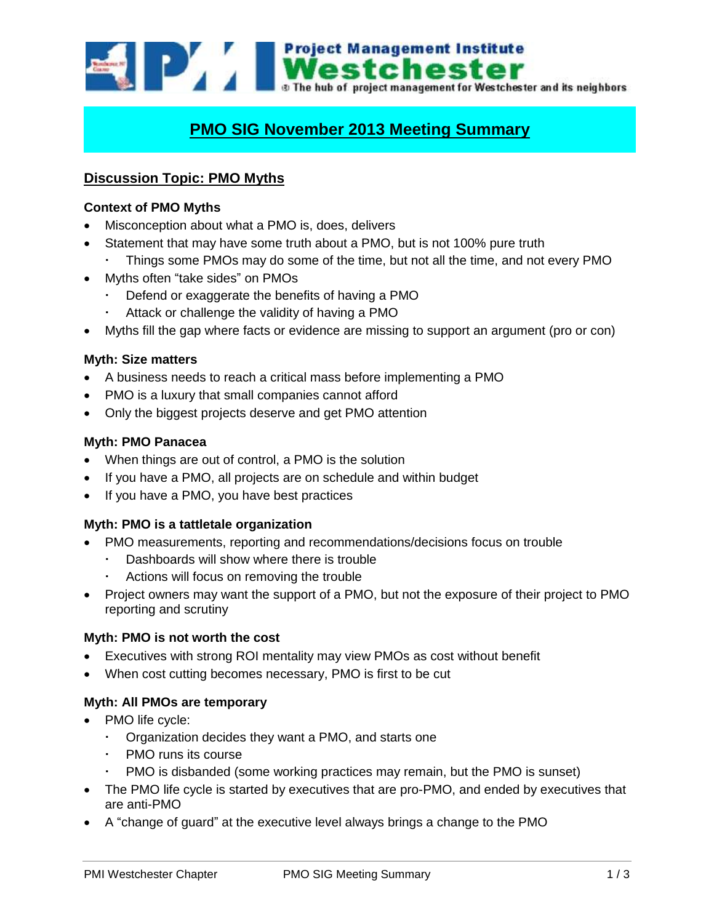Westchester The hub of project management for Westchester and its neighbors

# **PMO SIG November 2013 Meeting Summary**

## **Discussion Topic: PMO Myths**

#### **Context of PMO Myths**

- Misconception about what a PMO is, does, delivers
- Statement that may have some truth about a PMO, but is not 100% pure truth
	- Things some PMOs may do some of the time, but not all the time, and not every PMO
- Myths often "take sides" on PMOs
	- Defend or exaggerate the benefits of having a PMO
	- Attack or challenge the validity of having a PMO
- Myths fill the gap where facts or evidence are missing to support an argument (pro or con)

#### **Myth: Size matters**

- A business needs to reach a critical mass before implementing a PMO
- PMO is a luxury that small companies cannot afford
- Only the biggest projects deserve and get PMO attention

#### **Myth: PMO Panacea**

- When things are out of control, a PMO is the solution
- If you have a PMO, all projects are on schedule and within budget
- If you have a PMO, you have best practices

#### **Myth: PMO is a tattletale organization**

- PMO measurements, reporting and recommendations/decisions focus on trouble
	- Dashboards will show where there is trouble
	- Actions will focus on removing the trouble
- Project owners may want the support of a PMO, but not the exposure of their project to PMO reporting and scrutiny

#### **Myth: PMO is not worth the cost**

- Executives with strong ROI mentality may view PMOs as cost without benefit
- When cost cutting becomes necessary, PMO is first to be cut

#### **Myth: All PMOs are temporary**

- PMO life cycle:
	- Organization decides they want a PMO, and starts one
	- PMO runs its course
	- PMO is disbanded (some working practices may remain, but the PMO is sunset)
- The PMO life cycle is started by executives that are pro-PMO, and ended by executives that are anti-PMO
- A "change of guard" at the executive level always brings a change to the PMO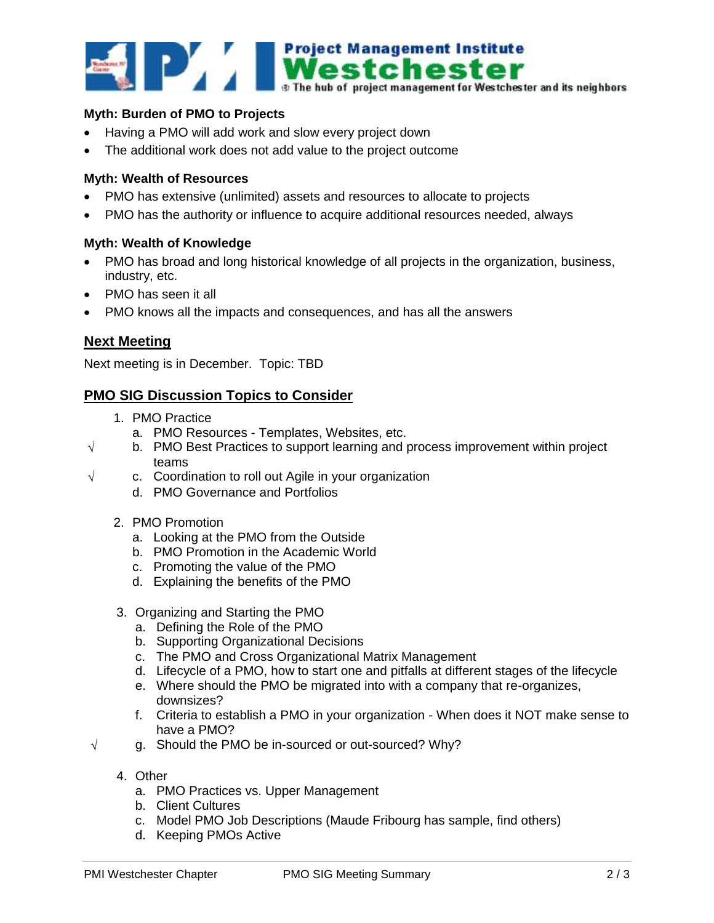

#### **Myth: Burden of PMO to Projects**

- Having a PMO will add work and slow every project down
- The additional work does not add value to the project outcome

#### **Myth: Wealth of Resources**

- PMO has extensive (unlimited) assets and resources to allocate to projects
- PMO has the authority or influence to acquire additional resources needed, always

#### **Myth: Wealth of Knowledge**

- PMO has broad and long historical knowledge of all projects in the organization, business, industry, etc.
- PMO has seen it all
- PMO knows all the impacts and consequences, and has all the answers

## **Next Meeting**

Next meeting is in December. Topic: TBD

### **PMO SIG Discussion Topics to Consider**

- 1. PMO Practice
	- a. PMO Resources Templates, Websites, etc.
- $\sqrt{\phantom{a}}$  b. PMO Best Practices to support learning and process improvement within project teams
- $\sqrt{ }$  c. Coordination to roll out Agile in your organization
	- d. PMO Governance and Portfolios
	- 2. PMO Promotion
		- a. Looking at the PMO from the Outside
		- b. PMO Promotion in the Academic World
		- c. Promoting the value of the PMO
		- d. Explaining the benefits of the PMO
	- 3. Organizing and Starting the PMO
		- a. Defining the Role of the PMO
		- b. Supporting Organizational Decisions
		- c. The PMO and Cross Organizational Matrix Management
		- d. Lifecycle of a PMO, how to start one and pitfalls at different stages of the lifecycle
		- e. Where should the PMO be migrated into with a company that re-organizes, downsizes?
		- f. Criteria to establish a PMO in your organization When does it NOT make sense to have a PMO?
- $\sqrt{q}$  g. Should the PMO be in-sourced or out-sourced? Why?
	- 4. Other
		- a. PMO Practices vs. Upper Management
		- b. Client Cultures
		- c. Model PMO Job Descriptions (Maude Fribourg has sample, find others)
		- d. Keeping PMOs Active